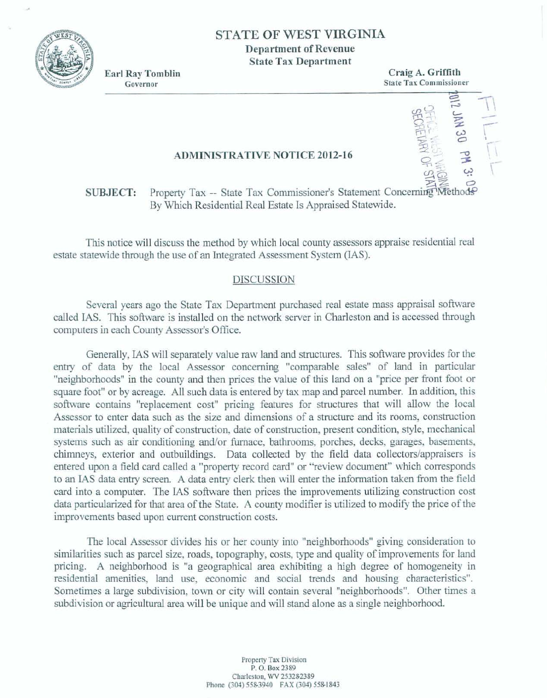

## **STATE OF WEST VIRGINIA**

**Department of Revenue State Tax Department** 

**Earl Ray Tomblin** Governor

**Craig A Griffith State Tax Commissioner Francisconer**<br> **P 27 <b>D** 27 **P** 28<br> **P 27 <b>P** 28<br> **P** 28

 $\begin{picture}(180,10) \put(0,0){\line(1,0){155}} \put(10,0){\line(1,0){155}} \put(10,0){\line(1,0){155}} \put(10,0){\line(1,0){155}} \put(10,0){\line(1,0){155}} \put(10,0){\line(1,0){155}} \put(10,0){\line(1,0){155}} \put(10,0){\line(1,0){155}} \put(10,0){\line(1,0){155}} \put(10,0){\line(1,0){155}} \put(10,0){\line(1,0){155}}$ 

 $+$ 

*545* 

#### **ADMINISTRATIVE NOTICE 2012-16**

# **50**<br>**SUBJECT:** Property Tax -- State Tax Commissioner's Statement Concerning Methods **By Which Residential Real Estate Is Appraised Statewide.**

This notice will discuss the method by which local county assessors appraise residential real estate statewide through the use of an Integrated Assessment System (IAS).

#### **DISCUSSION**

Several years ago the State Tax Department purchased real estate mass appraisal software **called MS. This** software **is** installed on **the** network **server in** Charleston and **is accessed** through **computes in** each **County Assessor's** Office.

**Generally, IAS** will **separately** value **raw** lad and **structures.** This software **provides for the**  entry **of** data **by** the **local Assessor** cuncerning "comparible **sales" of** land **in particular**  "neighborhoods" in the county and then prices the value of this land on a "price per front foot or square **foott' or by acreage.** *All* **such** data **is entered by** tax **map** and **parcel** number. **In** addition, **this**   $s$ oftware contains "replacement cost" pricing features for structures that will allow the local **Assessor to** enter data **such as** the size **and** dimensions **of a structure and ib** mom, **construction**   $m$  materials utilized, quality of construction, date of construction, present condition, style, mechanical systems such as air conditioning and/or furnace, bathrooms, porches, decks, garages, basements, **chimneys, exterior** and outbuildings. Data collected **by** the field **data coIlectors/apprak.m** is entered **upon** a field *cad* **called a "property record** card" **or 'Yeview document" which** corresponds entered upon a field card called a "property record card" or "review document" which corresponds<br>to an IAS data entry screen. A data entry clerk then will enter the information taken from the field<br>card into a computer. Th **card** into **a** computer. The IAS sohare **then** prices **the improvements** utilizing construction **cost improvements** based upon current construction costs.

The local Assessor divides his or her county into "neighborhoods" giving consideration to **similarities such as parcel size, roads, topography, costs, type and quality of improvements for land pricing.** A neighborhood is "a geographical area exhibiting a high degree of homogeneity in residential amenities, land use, economic and social trends and housing characteristics". **Sometimes a large** subdivision, town **or city** will contain **several nneighborboods".** Other **times** *a*  **subdivision or** agricultuml area **will be** unique and **wiIl stand alone as a single neighhrhood.**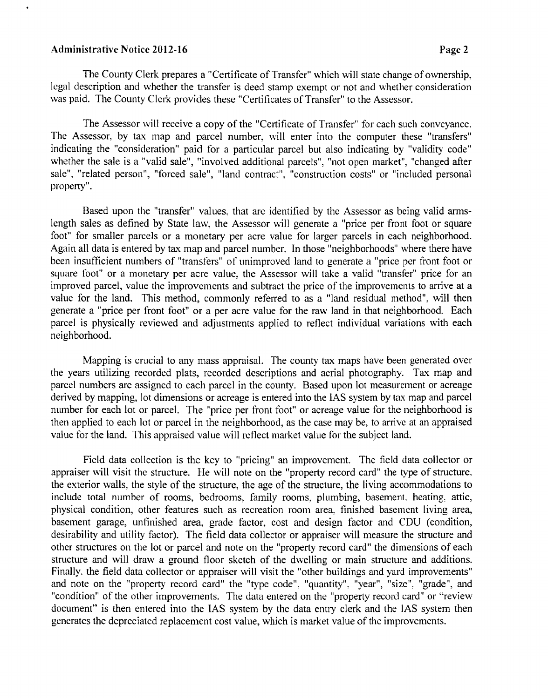#### **Administrative Notice 2012-16** Page 2

The County Clerk prepares a "Certificate of Transfer" which will state change of ownership, legal description and whether the transfer is deed stamp exempt or not and whether consideration was paid. The County Clerk provides these "Certificates of Transfer" to the Assessor.

The Assessor will receive a copy of the "Certificate of Transfer" for each such conveyance. The Assessor. by tax map and parcel number. will enter into the computer these "transfers" indicating the "consideration" paid for a particular parcel but also indicating by "validity code" whether the sale is a "valid sale", "involved additional parcels", "not open market", "changed after sale", "related person", "forced sale". "land contract", "construction costs" or "included personal property".

Based upon the "transfer" values. that are identified by the Assessor as being valid armslength sales as defined by State law, the Assessor will generate a "price per front foot or square foot" for smaller parcels or a monetary per acre value for larger parcels in each neighborhood. Again all data is entered by tax map and parcel nurnber. In those "neighborhoods" where there have been insufficient numbers of "transfers" of unimproved land to generate a "price per front foot or square foot" or a monetary per acre value, the Assessor will take a valid "transfer" price for an improved parcel, value the improvements and subtract the price of the improvements to arrive at a value for the land. This method, commonly referred to as a "land residual method", will then generate a "price per front foot" or a per acre value for the raw land in that neighborhood. Each parcel is physically reviewed and adjustments applied to reflect individual variations with each neighborhood.

Mapping is crucial to any mass appraisal. The county tax maps have been generated over the years utilizing recorded plats, recorded descriptions and aerial photography. Tax map and parcel numbers are assigned to each parcel in the county. Based upon lot measurement or acreage derived by mapping, lot dimensions or acreage is entered into the IAS system by tax map and parcel number for each lot or parcel. The "price per front foot" or acreage value for the neighborhood is then applied to each lot or parcel in the neighborhood, as the case may be, to arrive at an appraised value for the land. This appraised value will reflect market valuc for the subject land.

Field data collection is the key to "pricing" an improvement. The field data collector or appraiser will visit the structure. He will note on the "property record card" the type of structure. the exterior walls. the style of the structure, the age of the structure, the living accommodations to include total number of rooms, bedrooms, family rooms, plumbing, basement, heating, attic, physical condition, other features such as recreation room area, finished basement living area, basement garage, unfinished area, grade factor, cost and design factor and CDU (condition, desirability and utility factor). The field data collector or appraiser will measure the structure and other structures on the lot or parcel and note on the "property record card" the dimensions of each structure and will draw a ground floor sketch of the divelling or main structure and additions. Finally. the field data collector or appraiser will visit the "other buildings and yard improvements" and note on the "property record card" the "type code", "quantity", "year", "size". "grade", and "condition" of the other improvements. The data entered on the "property record card" or "review document" is then entered into the IAS system by the data entry clerk and the IAS system then generates the depreciated replacement cost value. which is market value of the improvements.